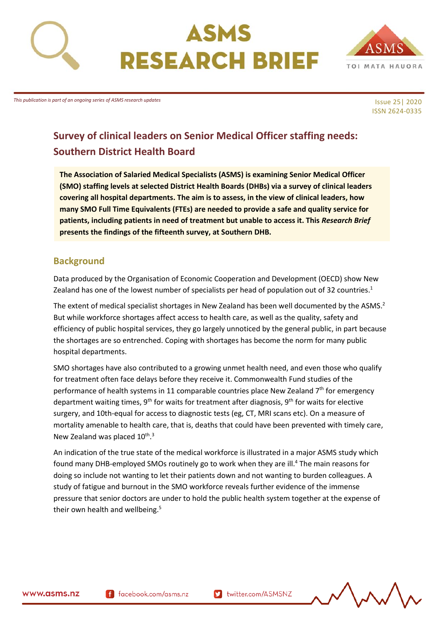

# ASMS **RESEARCH BRIEF**



*This publication is part of an ongoing series of ASMS research updates*

#### Issue 25| 2020 ISSN 2624-0335

## **Survey of clinical leaders on Senior Medical Officer staffing needs: Southern District Health Board**

**The Association of Salaried Medical Specialists (ASMS) is examining Senior Medical Officer (SMO) staffing levels at selected District Health Boards (DHBs) via a survey of clinical leaders covering all hospital departments. The aim is to assess, in the view of clinical leaders, how many SMO Full Time Equivalents (FTEs) are needed to provide a safe and quality service for patients, including patients in need of treatment but unable to access it. This** *Research Brief* **presents the findings of the fifteenth survey, at Southern DHB.** 

## <span id="page-0-0"></span>**Background**

Data produced by the Organisation of Economic Cooperation and Development (OECD) show New Zealand has one of the lowest number of specialists per head of population out of 32 countries.<sup>1</sup>

The extent of medical specialist shortages in New Zealand has been well documented by the ASMS.<sup>2</sup> But while workforce shortages affect access to health care, as well as the quality, safety and efficiency of public hospital services, they go largely unnoticed by the general public, in part because the shortages are so entrenched. Coping with shortages has become the norm for many public hospital departments.

SMO shortages have also contributed to a growing unmet health need, and even those who qualify for treatment often face delays before they receive it. Commonwealth Fund studies of the performance of health systems in 11 comparable countries place New Zealand  $7<sup>th</sup>$  for emergency department waiting times,  $9<sup>th</sup>$  for waits for treatment after diagnosis,  $9<sup>th</sup>$  for waits for elective surgery, and 10th-equal for access to diagnostic tests (eg, CT, MRI scans etc). On a measure of mortality amenable to health care, that is, deaths that could have been prevented with timely care, New Zealand was placed 10<sup>th</sup>.<sup>3</sup>

An indication of the true state of the medical workforce is illustrated in a major ASMS study which found many DHB-employed SMOs routinely go to work when they are ill.<sup>4</sup> The main reasons for doing so include not wanting to let their patients down and not wanting to burden colleagues. A study of fatigue and burnout in the SMO workforce reveals further evidence of the immense pressure that senior doctors are under to hold the public health system together at the expense of their own health and wellbeing.<sup>5</sup>

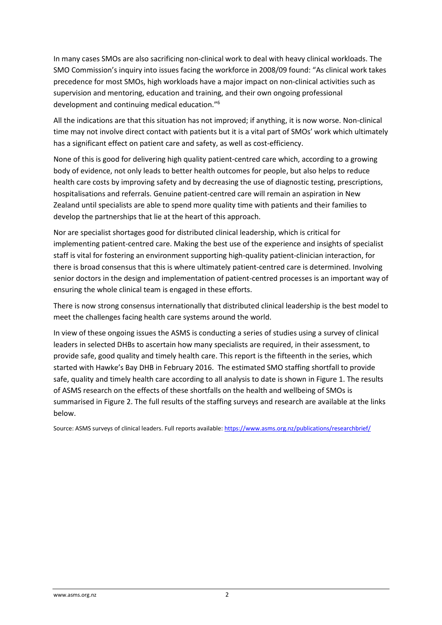In many cases SMOs are also sacrificing non-clinical work to deal with heavy clinical workloads. The SMO Commission's inquiry into issues facing the workforce in 2008/09 found: "As clinical work takes precedence for most SMOs, high workloads have a major impact on non-clinical activities such as supervision and mentoring, education and training, and their own ongoing professional development and continuing medical education."<sup>6</sup>

All the indications are that this situation has not improved; if anything, it is now worse. Non-clinical time may not involve direct contact with patients but it is a vital part of SMOs' work which ultimately has a significant effect on patient care and safety, as well as cost-efficiency.

None of this is good for delivering high quality patient-centred care which, according to a growing body of evidence, not only leads to better health outcomes for people, but also helps to reduce health care costs by improving safety and by decreasing the use of diagnostic testing, prescriptions, hospitalisations and referrals. Genuine patient-centred care will remain an aspiration in New Zealand until specialists are able to spend more quality time with patients and their families to develop the partnerships that lie at the heart of this approach.

Nor are specialist shortages good for distributed clinical leadership, which is critical for implementing patient-centred care. Making the best use of the experience and insights of specialist staff is vital for fostering an environment supporting high-quality patient-clinician interaction, for there is broad consensus that this is where ultimately patient-centred care is determined. Involving senior doctors in the design and implementation of patient-centred processes is an important way of ensuring the whole clinical team is engaged in these efforts.

There is now strong consensus internationally that distributed clinical leadership is the best model to meet the challenges facing health care systems around the world.

In view of these ongoing issues the ASMS is conducting a series of studies using a survey of clinical leaders in selected DHBs to ascertain how many specialists are required, in their assessment, to provide safe, good quality and timely health care. This report is the fifteenth in the series, which started with Hawke's Bay DHB in February 2016. The estimated SMO staffing shortfall to provide safe, quality and timely health care according to all analysis to date is shown in Figure 1. The results of ASMS research on the effects of these shortfalls on the health and wellbeing of SMOs is summarised in Figure 2. The full results of the staffing surveys and research are available at the links below.

Source: ASMS surveys of clinical leaders. Full reports available[: https://www.asms.org.nz/publications/researchbrief/](https://www.asms.org.nz/publications/researchbrief/)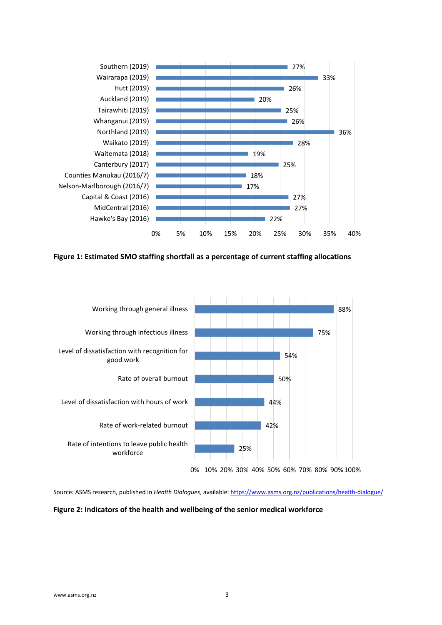<span id="page-2-0"></span>

<span id="page-2-1"></span>**Figure 1: Estimated SMO staffing shortfall as a percentage of current staffing allocations** 



Source: ASMS research, published in *Health Dialogues*, available[: https://www.asms.org.nz/publications/health-dialogue/](https://www.asms.org.nz/publications/health-dialogue/)

#### <span id="page-2-2"></span>**Figure 2: Indicators of the health and wellbeing of the senior medical workforce**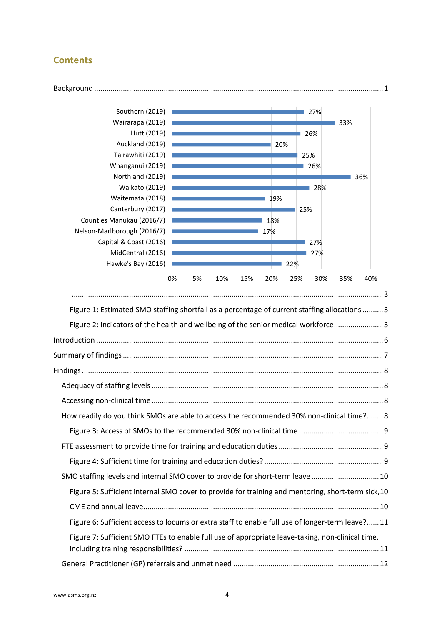## **Contents**



| How readily do you think SMOs are able to access the recommended 30% non-clinical time? 8          |
|----------------------------------------------------------------------------------------------------|
|                                                                                                    |
|                                                                                                    |
|                                                                                                    |
| SMO staffing levels and internal SMO cover to provide for short-term leave  10                     |
| Figure 5: Sufficient internal SMO cover to provide for training and mentoring, short-term sick, 10 |
|                                                                                                    |
| Figure 6: Sufficient access to locums or extra staff to enable full use of longer-term leave?11    |
| Figure 7: Sufficient SMO FTEs to enable full use of appropriate leave-taking, non-clinical time,   |
|                                                                                                    |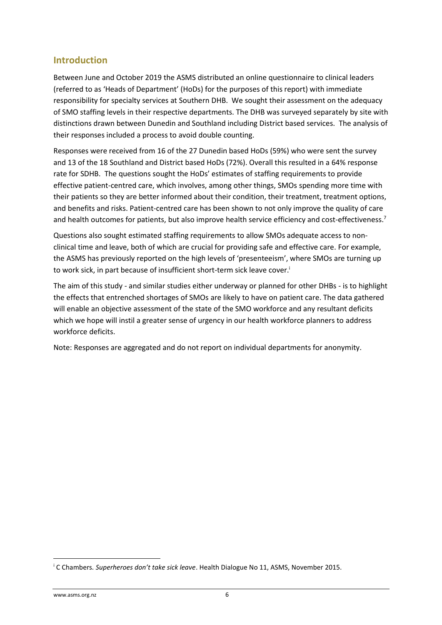## <span id="page-5-0"></span>**Introduction**

Between June and October 2019 the ASMS distributed an online questionnaire to clinical leaders (referred to as 'Heads of Department' (HoDs) for the purposes of this report) with immediate responsibility for specialty services at Southern DHB. We sought their assessment on the adequacy of SMO staffing levels in their respective departments. The DHB was surveyed separately by site with distinctions drawn between Dunedin and Southland including District based services. The analysis of their responses included a process to avoid double counting.

Responses were received from 16 of the 27 Dunedin based HoDs (59%) who were sent the survey and 13 of the 18 Southland and District based HoDs (72%). Overall this resulted in a 64% response rate for SDHB. The questions sought the HoDs' estimates of staffing requirements to provide effective patient-centred care, which involves, among other things, SMOs spending more time with their patients so they are better informed about their condition, their treatment, treatment options, and benefits and risks. Patient-centred care has been shown to not only improve the quality of care and health outcomes for patients, but also improve health service efficiency and cost-effectiveness.<sup>7</sup>

Questions also sought estimated staffing requirements to allow SMOs adequate access to nonclinical time and leave, both of which are crucial for providing safe and effective care. For example, the ASMS has previously reported on the high levels of 'presenteeism', where SMOs are turning up to work sick, in part because of insufficient short-term sick leave cover.<sup>i</sup>

The aim of this study - and similar studies either underway or planned for other DHBs - is to highlight the effects that entrenched shortages of SMOs are likely to have on patient care. The data gathered will enable an objective assessment of the state of the SMO workforce and any resultant deficits which we hope will instil a greater sense of urgency in our health workforce planners to address workforce deficits.

Note: Responses are aggregated and do not report on individual departments for anonymity.

<sup>i</sup> C Chambers*. Superheroes don't take sick leave*. Health Dialogue No 11, ASMS, November 2015.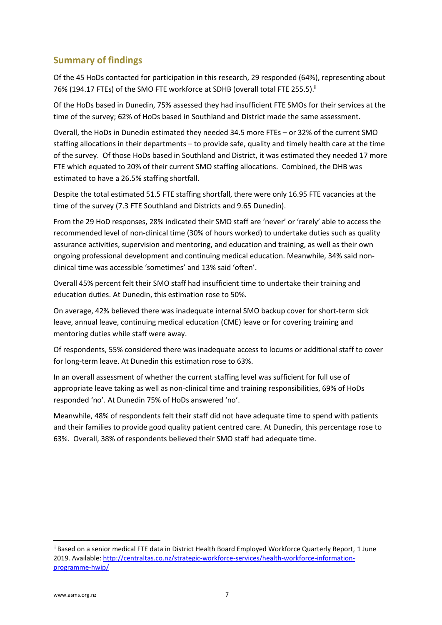## <span id="page-6-0"></span>**Summary of findings**

Of the 45 HoDs contacted for participation in this research, 29 responded (64%), representing about 76% (194.17 FTEs) of the SMO FTE workforce at SDHB (overall total FTE 255.5).<sup>ii</sup>

Of the HoDs based in Dunedin, 75% assessed they had insufficient FTE SMOs for their services at the time of the survey; 62% of HoDs based in Southland and District made the same assessment.

Overall, the HoDs in Dunedin estimated they needed 34.5 more FTEs – or 32% of the current SMO staffing allocations in their departments – to provide safe, quality and timely health care at the time of the survey. Of those HoDs based in Southland and District, it was estimated they needed 17 more FTE which equated to 20% of their current SMO staffing allocations. Combined, the DHB was estimated to have a 26.5% staffing shortfall.

Despite the total estimated 51.5 FTE staffing shortfall, there were only 16.95 FTE vacancies at the time of the survey (7.3 FTE Southland and Districts and 9.65 Dunedin).

From the 29 HoD responses, 28% indicated their SMO staff are 'never' or 'rarely' able to access the recommended level of non-clinical time (30% of hours worked) to undertake duties such as quality assurance activities, supervision and mentoring, and education and training, as well as their own ongoing professional development and continuing medical education. Meanwhile, 34% said nonclinical time was accessible 'sometimes' and 13% said 'often'.

Overall 45% percent felt their SMO staff had insufficient time to undertake their training and education duties. At Dunedin, this estimation rose to 50%.

On average, 42% believed there was inadequate internal SMO backup cover for short-term sick leave, annual leave, continuing medical education (CME) leave or for covering training and mentoring duties while staff were away.

Of respondents, 55% considered there was inadequate access to locums or additional staff to cover for long-term leave. At Dunedin this estimation rose to 63%.

In an overall assessment of whether the current staffing level was sufficient for full use of appropriate leave taking as well as non-clinical time and training responsibilities, 69% of HoDs responded 'no'. At Dunedin 75% of HoDs answered 'no'.

Meanwhile, 48% of respondents felt their staff did not have adequate time to spend with patients and their families to provide good quality patient centred care. At Dunedin, this percentage rose to 63%. Overall, 38% of respondents believed their SMO staff had adequate time.

ii Based on a senior medical FTE data in District Health Board Employed Workforce Quarterly Report, 1 June 2019. Available: [http://centraltas.co.nz/strategic-workforce-services/health-workforce-information](http://centraltas.co.nz/strategic-workforce-services/health-workforce-information-programme-hwip/)[programme-hwip/](http://centraltas.co.nz/strategic-workforce-services/health-workforce-information-programme-hwip/)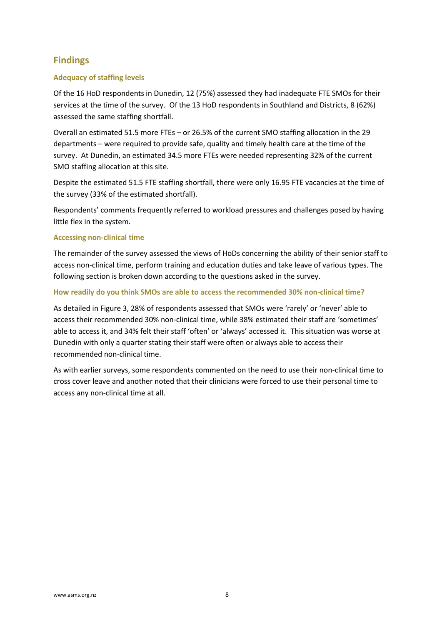## <span id="page-7-0"></span>**Findings**

#### <span id="page-7-1"></span>**Adequacy of staffing levels**

Of the 16 HoD respondents in Dunedin, 12 (75%) assessed they had inadequate FTE SMOs for their services at the time of the survey. Of the 13 HoD respondents in Southland and Districts, 8 (62%) assessed the same staffing shortfall.

Overall an estimated 51.5 more FTEs – or 26.5% of the current SMO staffing allocation in the 29 departments – were required to provide safe, quality and timely health care at the time of the survey. At Dunedin, an estimated 34.5 more FTEs were needed representing 32% of the current SMO staffing allocation at this site.

Despite the estimated 51.5 FTE staffing shortfall, there were only 16.95 FTE vacancies at the time of the survey (33% of the estimated shortfall).

Respondents' comments frequently referred to workload pressures and challenges posed by having little flex in the system.

#### <span id="page-7-2"></span>**Accessing non-clinical time**

The remainder of the survey assessed the views of HoDs concerning the ability of their senior staff to access non-clinical time, perform training and education duties and take leave of various types. The following section is broken down according to the questions asked in the survey.

#### <span id="page-7-3"></span>**How readily do you think SMOs are able to access the recommended 30% non-clinical time?**

As detailed in Figure 3, 28% of respondents assessed that SMOs were 'rarely' or 'never' able to access their recommended 30% non-clinical time, while 38% estimated their staff are 'sometimes' able to access it, and 34% felt their staff 'often' or 'always' accessed it. This situation was worse at Dunedin with only a quarter stating their staff were often or always able to access their recommended non-clinical time.

As with earlier surveys, some respondents commented on the need to use their non-clinical time to cross cover leave and another noted that their clinicians were forced to use their personal time to access any non-clinical time at all.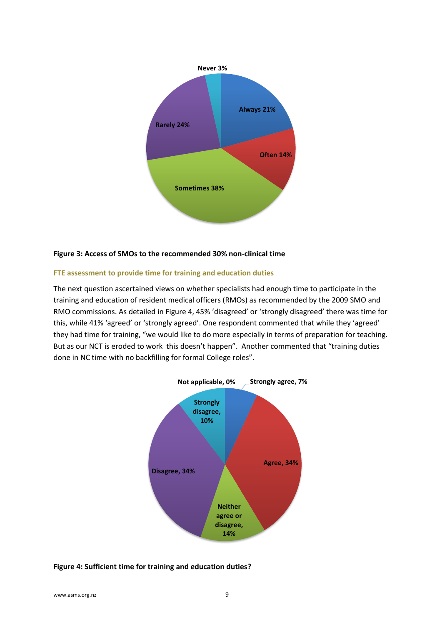

#### <span id="page-8-0"></span>**Figure 3: Access of SMOs to the recommended 30% non-clinical time**

#### <span id="page-8-1"></span>**FTE assessment to provide time for training and education duties**

The next question ascertained views on whether specialists had enough time to participate in the training and education of resident medical officers (RMOs) as recommended by the 2009 SMO and RMO commissions. As detailed in Figure 4, 45% 'disagreed' or 'strongly disagreed' there was time for this, while 41% 'agreed' or 'strongly agreed'. One respondent commented that while they 'agreed' they had time for training, "we would like to do more especially in terms of preparation for teaching. But as our NCT is eroded to work this doesn't happen". Another commented that "training duties done in NC time with no backfilling for formal College roles".



#### <span id="page-8-2"></span>**Figure 4: Sufficient time for training and education duties?**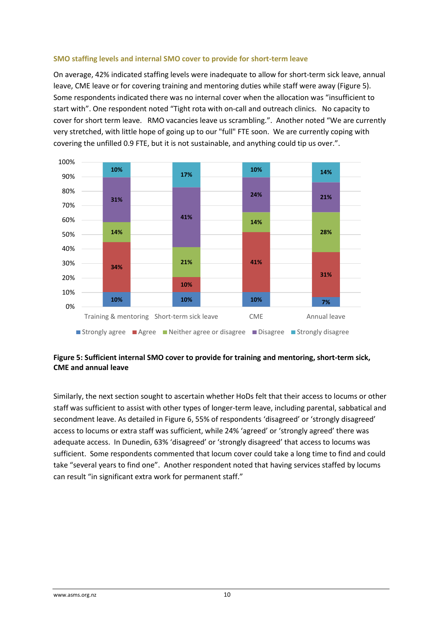#### <span id="page-9-0"></span>**SMO staffing levels and internal SMO cover to provide for short-term leave**

On average, 42% indicated staffing levels were inadequate to allow for short-term sick leave, annual leave, CME leave or for covering training and mentoring duties while staff were away (Figure 5). Some respondents indicated there was no internal cover when the allocation was "insufficient to start with". One respondent noted "Tight rota with on-call and outreach clinics. No capacity to cover for short term leave. RMO vacancies leave us scrambling.". Another noted "We are currently very stretched, with little hope of going up to our "full" FTE soon. We are currently coping with covering the unfilled 0.9 FTE, but it is not sustainable, and anything could tip us over.".



#### <span id="page-9-2"></span><span id="page-9-1"></span>**Figure 5: Sufficient internal SMO cover to provide for training and mentoring, short-term sick, CME and annual leave**

Similarly, the next section sought to ascertain whether HoDs felt that their access to locums or other staff was sufficient to assist with other types of longer-term leave, including parental, sabbatical and secondment leave. As detailed in Figure 6, 55% of respondents 'disagreed' or 'strongly disagreed' access to locums or extra staff was sufficient, while 24% 'agreed' or 'strongly agreed' there was adequate access. In Dunedin, 63% 'disagreed' or 'strongly disagreed' that access to locums was sufficient. Some respondents commented that locum cover could take a long time to find and could take "several years to find one". Another respondent noted that having services staffed by locums can result "in significant extra work for permanent staff."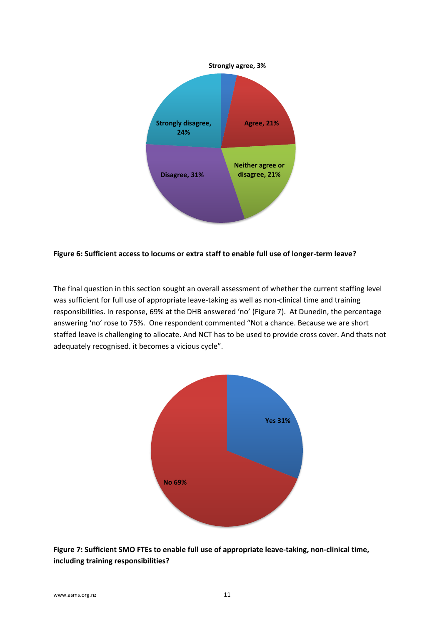

#### <span id="page-10-0"></span>**Figure 6: Sufficient access to locums or extra staff to enable full use of longer-term leave?**

The final question in this section sought an overall assessment of whether the current staffing level was sufficient for full use of appropriate leave-taking as well as non-clinical time and training responsibilities. In response, 69% at the DHB answered 'no' (Figure 7). At Dunedin, the percentage answering 'no' rose to 75%. One respondent commented "Not a chance. Because we are short staffed leave is challenging to allocate. And NCT has to be used to provide cross cover. And thats not adequately recognised. it becomes a vicious cycle".



<span id="page-10-1"></span>**Figure 7: Sufficient SMO FTEs to enable full use of appropriate leave-taking, non-clinical time, including training responsibilities?**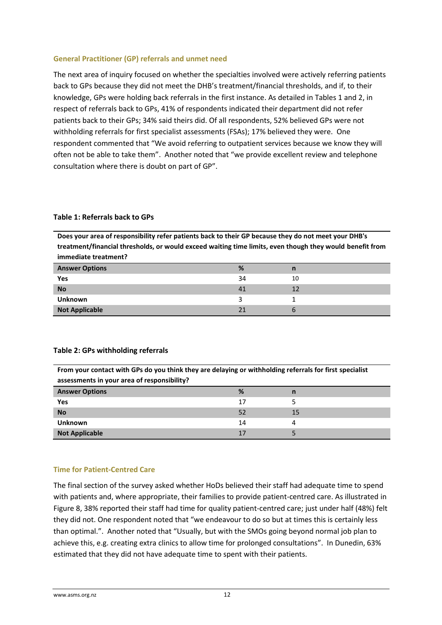#### <span id="page-11-0"></span>**General Practitioner (GP) referrals and unmet need**

The next area of inquiry focused on whether the specialties involved were actively referring patients back to GPs because they did not meet the DHB's treatment/financial thresholds, and if, to their knowledge, GPs were holding back referrals in the first instance. As detailed in Tables 1 and 2, in respect of referrals back to GPs, 41% of respondents indicated their department did not refer patients back to their GPs; 34% said theirs did. Of all respondents, 52% believed GPs were not withholding referrals for first specialist assessments (FSAs); 17% believed they were. One respondent commented that "We avoid referring to outpatient services because we know they will often not be able to take them". Another noted that "we provide excellent review and telephone consultation where there is doubt on part of GP".

#### <span id="page-11-1"></span>**Table 1: Referrals back to GPs**

**Does your area of responsibility refer patients back to their GP because they do not meet your DHB's treatment/financial thresholds, or would exceed waiting time limits, even though they would benefit from immediate treatment?**

| <b>Answer Options</b> | %  | n  |
|-----------------------|----|----|
| Yes                   | 34 | 10 |
| <b>No</b>             |    |    |
| <b>Unknown</b>        |    |    |
| <b>Not Applicable</b> | 21 |    |

#### <span id="page-11-2"></span>**Table 2: GPs withholding referrals**

**From your contact with GPs do you think they are delaying or withholding referrals for first specialist assessments in your area of responsibility?**

| <b>Answer Options</b> | ℅  | n  |
|-----------------------|----|----|
| Yes                   |    |    |
| <b>No</b>             |    | 15 |
| <b>Unknown</b>        | 14 |    |
| <b>Not Applicable</b> |    |    |

#### <span id="page-11-3"></span>**Time for Patient-Centred Care**

The final section of the survey asked whether HoDs believed their staff had adequate time to spend with patients and, where appropriate, their families to provide patient-centred care. As illustrated in [Figu](#page-12-0)re 8, 38% reported their staff had time for quality patient-centred care; just under half (48%) felt they did not. One respondent noted that "we endeavour to do so but at times this is certainly less than optimal.". Another noted that "Usually, but with the SMOs going beyond normal job plan to achieve this, e.g. creating extra clinics to allow time for prolonged consultations". In Dunedin, 63% estimated that they did not have adequate time to spent with their patients.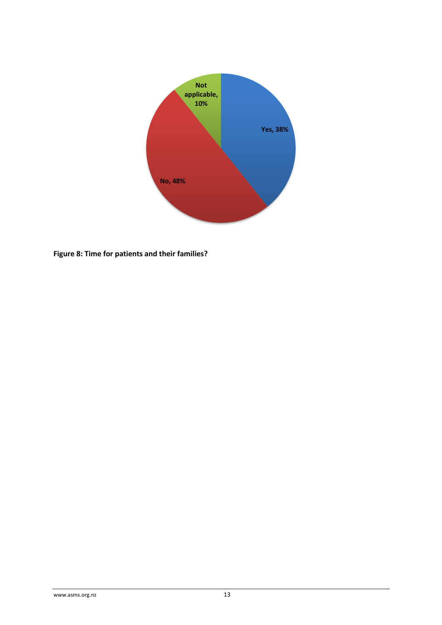

<span id="page-12-0"></span>**Figure 8: Time for patients and their families?**